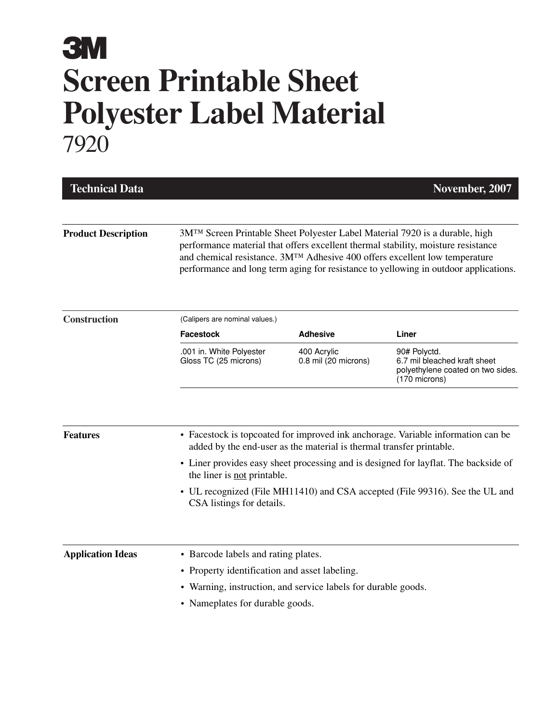| <b>Technical Data</b>      |                                                                                                                                                                                                                                                                                                                                         |                                                                      | November, 2007                                                                                                                                                                                                                                          |  |  |  |
|----------------------------|-----------------------------------------------------------------------------------------------------------------------------------------------------------------------------------------------------------------------------------------------------------------------------------------------------------------------------------------|----------------------------------------------------------------------|---------------------------------------------------------------------------------------------------------------------------------------------------------------------------------------------------------------------------------------------------------|--|--|--|
| <b>Product Description</b> | 3M™ Screen Printable Sheet Polyester Label Material 7920 is a durable, high<br>performance material that offers excellent thermal stability, moisture resistance<br>and chemical resistance. 3MTM Adhesive 400 offers excellent low temperature<br>performance and long term aging for resistance to yellowing in outdoor applications. |                                                                      |                                                                                                                                                                                                                                                         |  |  |  |
| Construction               | (Calipers are nominal values.)                                                                                                                                                                                                                                                                                                          |                                                                      |                                                                                                                                                                                                                                                         |  |  |  |
|                            | Facestock<br>.001 in. White Polyester<br>Gloss TC (25 microns)                                                                                                                                                                                                                                                                          | <b>Adhesive</b><br>400 Acrylic<br>0.8 mil (20 microns)               | Liner<br>90# Polyctd.<br>6.7 mil bleached kraft sheet<br>polyethylene coated on two sides.<br>(170 microns)                                                                                                                                             |  |  |  |
| <b>Features</b>            | the liner is not printable.                                                                                                                                                                                                                                                                                                             | added by the end-user as the material is thermal transfer printable. | • Facestock is topcoated for improved ink anchorage. Variable information can be<br>• Liner provides easy sheet processing and is designed for layflat. The backside of<br>• UL recognized (File MH11410) and CSA accepted (File 99316). See the UL and |  |  |  |
| <b>Application Ideas</b>   | CSA listings for details.<br>• Barcode labels and rating plates.<br>• Property identification and asset labeling.<br>• Warning, instruction, and service labels for durable goods.<br>• Nameplates for durable goods.                                                                                                                   |                                                                      |                                                                                                                                                                                                                                                         |  |  |  |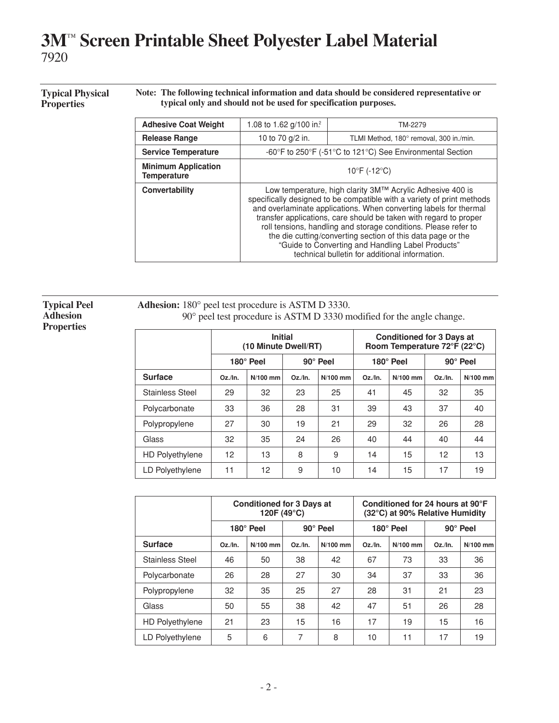#### **Typical Physical Properties**

**Note: The following technical information and data should be considered representative or typical only and should not be used for specification purposes.**

| <b>Adhesive Coat Weight</b>                      | 1.08 to 1.62 g/100 in. <sup>2</sup>                                                                                                                                                                                                                                                                                                                                                                                                                                                                                    | TM-2279                                                   |  |  |
|--------------------------------------------------|------------------------------------------------------------------------------------------------------------------------------------------------------------------------------------------------------------------------------------------------------------------------------------------------------------------------------------------------------------------------------------------------------------------------------------------------------------------------------------------------------------------------|-----------------------------------------------------------|--|--|
| <b>Release Range</b>                             | 10 to 70 g/2 in.                                                                                                                                                                                                                                                                                                                                                                                                                                                                                                       | TLMI Method, 180° removal, 300 in./min.                   |  |  |
| <b>Service Temperature</b>                       |                                                                                                                                                                                                                                                                                                                                                                                                                                                                                                                        | -60°F to 250°F (-51°C to 121°C) See Environmental Section |  |  |
| <b>Minimum Application</b><br><b>Temperature</b> | $10^{\circ}$ F (-12 $^{\circ}$ C)                                                                                                                                                                                                                                                                                                                                                                                                                                                                                      |                                                           |  |  |
| Convertability                                   | Low temperature, high clarity 3M™ Acrylic Adhesive 400 is<br>specifically designed to be compatible with a variety of print methods<br>and overlaminate applications. When converting labels for thermal<br>transfer applications, care should be taken with regard to proper<br>roll tensions, handling and storage conditions. Please refer to<br>the die cutting/converting section of this data page or the<br>"Guide to Converting and Handling Label Products"<br>technical bulletin for additional information. |                                                           |  |  |

**Typical Peel Adhesion Properties**

**Adhesion:** 180° peel test procedure is ASTM D 3330. 90° peel test procedure is ASTM D 3330 modified for the angle change.

|                        | <b>Initial</b><br>(10 Minute Dwell/RT) |            |                 | <b>Conditioned for 3 Days at</b><br>Room Temperature 72°F (22°C) |            |            |                 |            |
|------------------------|----------------------------------------|------------|-----------------|------------------------------------------------------------------|------------|------------|-----------------|------------|
|                        | 180 $^{\circ}$ Peel                    |            | $90^\circ$ Peel |                                                                  | 180° Peel  |            | $90^\circ$ Peel |            |
| <b>Surface</b>         | $Oz$ ./In.                             | $N/100$ mm | $Oz$ ./In.      | $N/100$ mm                                                       | $Oz$ ./In. | $N/100$ mm | $Oz$ ./In.      | $N/100$ mm |
| Stainless Steel        | 29                                     | 32         | 23              | 25                                                               | 41         | 45         | 32              | 35         |
| Polycarbonate          | 33                                     | 36         | 28              | 31                                                               | 39         | 43         | 37              | 40         |
| Polypropylene          | 27                                     | 30         | 19              | 21                                                               | 29         | 32         | 26              | 28         |
| Glass                  | 32                                     | 35         | 24              | 26                                                               | 40         | 44         | 40              | 44         |
| <b>HD Polyethylene</b> | 12                                     | 13         | 8               | 9                                                                | 14         | 15         | 12              | 13         |
| LD Polyethylene        | 11                                     | 12         | 9               | 10                                                               | 14         | 15         | 17              | 19         |

|                        | <b>Conditioned for 3 Days at</b><br>120F (49°C) |                                     |            | Conditioned for 24 hours at 90°F<br>(32°C) at 90% Relative Humidity |            |            |                 |            |
|------------------------|-------------------------------------------------|-------------------------------------|------------|---------------------------------------------------------------------|------------|------------|-----------------|------------|
|                        |                                                 | $180^\circ$ Peel<br>$90^\circ$ Peel |            |                                                                     | 180° Peel  |            | $90^\circ$ Peel |            |
| <b>Surface</b>         | $Oz$ ./In.                                      | $N/100$ mm                          | $Oz$ ./In. | $N/100$ mm                                                          | $Oz$ ./In. | $N/100$ mm | $Oz$ ./In.      | $N/100$ mm |
| <b>Stainless Steel</b> | 46                                              | 50                                  | 38         | 42                                                                  | 67         | 73         | 33              | 36         |
| Polycarbonate          | 26                                              | 28                                  | 27         | 30                                                                  | 34         | 37         | 33              | 36         |
| Polypropylene          | 32                                              | 35                                  | 25         | 27                                                                  | 28         | 31         | 21              | 23         |
| Glass                  | 50                                              | 55                                  | 38         | 42                                                                  | 47         | 51         | 26              | 28         |
| <b>HD Polyethylene</b> | 21                                              | 23                                  | 15         | 16                                                                  | 17         | 19         | 15              | 16         |
| LD Polyethylene        | 5                                               | 6                                   | 7          | 8                                                                   | 10         | 11         | 17              | 19         |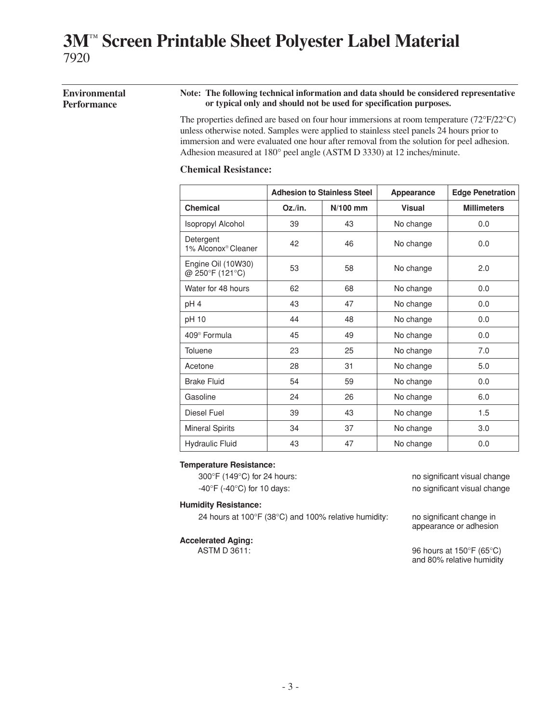#### **Environmental Performance Note: The following technical information and data should be considered representative or typical only and should not be used for specification purposes.**

The properties defined are based on four hour immersions at room temperature (72°F/22°C) unless otherwise noted. Samples were applied to stainless steel panels 24 hours prior to immersion and were evaluated one hour after removal from the solution for peel adhesion. Adhesion measured at 180° peel angle (ASTM D 3330) at 12 inches/minute.

#### **Chemical Resistance:**

|                                              | <b>Adhesion to Stainless Steel</b> |            | Appearance    | <b>Edge Penetration</b> |  |
|----------------------------------------------|------------------------------------|------------|---------------|-------------------------|--|
| <b>Chemical</b>                              | Oz./in.                            | $N/100$ mm | <b>Visual</b> | <b>Millimeters</b>      |  |
| Isopropyl Alcohol                            | 39                                 | 43         | No change     | 0.0                     |  |
| Detergent<br>1% Alconox <sup>®</sup> Cleaner | 42                                 | 46         | No change     | 0.0                     |  |
| Engine Oil (10W30)<br>@ 250°F (121°C)        | 53                                 | 58         | No change     | 2.0                     |  |
| Water for 48 hours                           | 62                                 | 68         | No change     | 0.0                     |  |
| pH 4                                         | 43                                 | 47         | No change     | 0.0                     |  |
| pH 10                                        | 44                                 | 48         | No change     | 0.0                     |  |
| 409 <sup>®</sup> Formula                     | 45                                 | 49         | No change     | 0.0                     |  |
| Toluene                                      | 23                                 | 25         | No change     | 7.0                     |  |
| Acetone                                      | 28                                 | 31         | No change     | 5.0                     |  |
| <b>Brake Fluid</b>                           | 54                                 | 59         | No change     | 0.0                     |  |
| Gasoline                                     | 24                                 | 26         | No change     | 6.0                     |  |
| Diesel Fuel                                  | 39                                 | 43         | No change     | 1.5                     |  |
| <b>Mineral Spirits</b>                       | 34                                 | 37         | No change     | 3.0                     |  |
| <b>Hydraulic Fluid</b>                       | 43                                 | 47         | No change     | 0.0                     |  |

#### **Temperature Resistance:**

300°F (149°C) for 24 hours: no significant visual change -40°F (-40°C) for 10 days: no significant visual change

#### **Humidity Resistance:**

24 hours at 100°F (38°C) and 100% relative humidity: no significant change in

### **Accelerated Aging:**

ASTM D 3611: 96 hours at 150°F (65°C) and 80% relative humidity

appearance or adhesion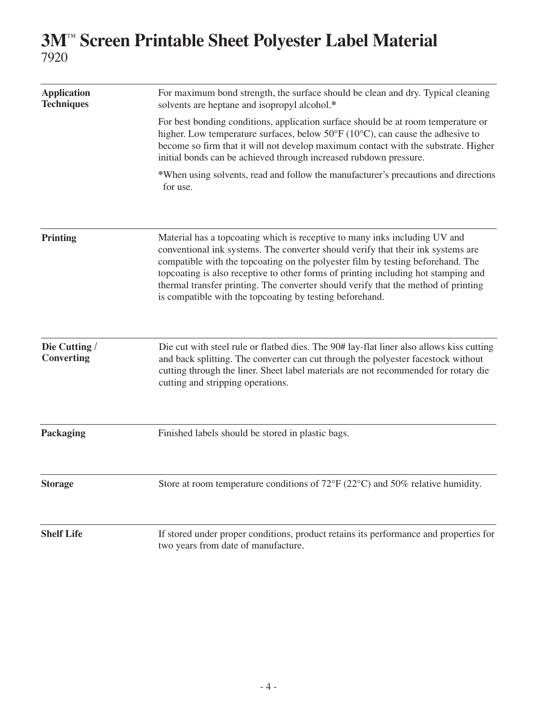| <b>Application</b><br><b>Techniques</b> | For maximum bond strength, the surface should be clean and dry. Typical cleaning<br>solvents are heptane and isopropyl alcohol.*                                                                                                                                                                                                                                                                                                                                                          |
|-----------------------------------------|-------------------------------------------------------------------------------------------------------------------------------------------------------------------------------------------------------------------------------------------------------------------------------------------------------------------------------------------------------------------------------------------------------------------------------------------------------------------------------------------|
|                                         | For best bonding conditions, application surface should be at room temperature or<br>higher. Low temperature surfaces, below 50°F (10°C), can cause the adhesive to<br>become so firm that it will not develop maximum contact with the substrate. Higher<br>initial bonds can be achieved through increased rubdown pressure.                                                                                                                                                            |
|                                         | *When using solvents, read and follow the manufacturer's precautions and directions<br>for use.                                                                                                                                                                                                                                                                                                                                                                                           |
| <b>Printing</b>                         | Material has a topcoating which is receptive to many inks including UV and<br>conventional ink systems. The converter should verify that their ink systems are<br>compatible with the topcoating on the polyester film by testing beforehand. The<br>topcoating is also receptive to other forms of printing including hot stamping and<br>thermal transfer printing. The converter should verify that the method of printing<br>is compatible with the topcoating by testing beforehand. |
| Die Cutting /<br>Converting             | Die cut with steel rule or flatbed dies. The 90# lay-flat liner also allows kiss cutting<br>and back splitting. The converter can cut through the polyester facestock without<br>cutting through the liner. Sheet label materials are not recommended for rotary die<br>cutting and stripping operations.                                                                                                                                                                                 |
| Packaging                               | Finished labels should be stored in plastic bags.                                                                                                                                                                                                                                                                                                                                                                                                                                         |
| <b>Storage</b>                          | Store at room temperature conditions of $72^{\circ}F(22^{\circ}C)$ and $50\%$ relative humidity.                                                                                                                                                                                                                                                                                                                                                                                          |
| <b>Shelf Life</b>                       | If stored under proper conditions, product retains its performance and properties for<br>two years from date of manufacture.                                                                                                                                                                                                                                                                                                                                                              |